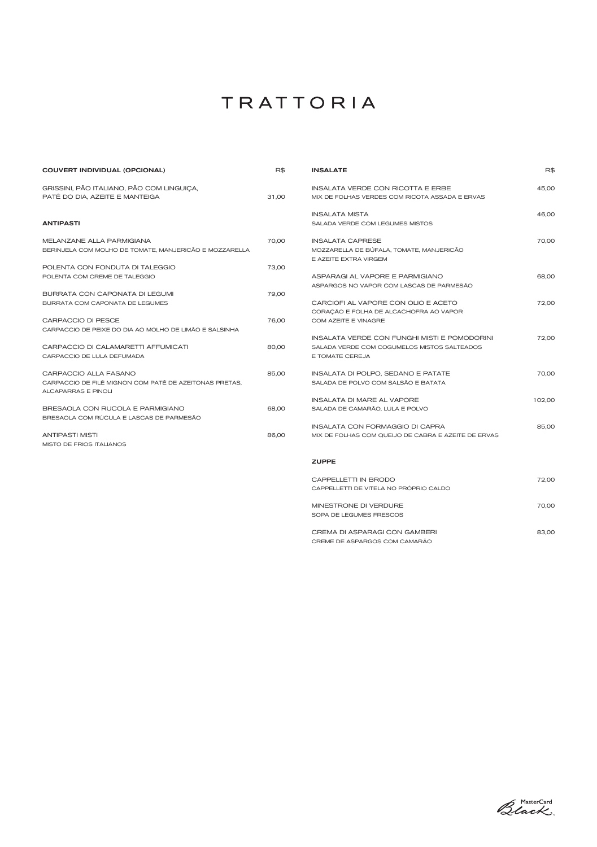| <b>COUVERT INDIVIDUAL (OPCIONAL)</b>                                                 | R\$   | <b>INSALATE</b>                                                               | R\$    |
|--------------------------------------------------------------------------------------|-------|-------------------------------------------------------------------------------|--------|
| GRISSINI, PÃO ITALIANO, PÃO COM LINGUIÇA,                                            |       | INSALATA VERDE CON RICOTTA E ERBE                                             | 45,00  |
| PATÉ DO DIA, AZEITE E MANTEIGA                                                       | 31,00 | MIX DE FOLHAS VERDES COM RICOTA ASSADA E ERVAS                                |        |
|                                                                                      |       | <b>INSALATA MISTA</b>                                                         | 46,00  |
| <b>ANTIPASTI</b>                                                                     |       | SALADA VERDE COM LEGUMES MISTOS                                               |        |
| MELANZANE ALLA PARMIGIANA                                                            | 70,00 | <b>INSALATA CAPRESE</b>                                                       | 70,00  |
| BERINJELA COM MOLHO DE TOMATE, MANJERICÃO E MOZZARELLA                               |       | MOZZARELLA DE BÚFALA, TOMATE, MANJERICÃO<br>E AZEITE EXTRA VIRGEM             |        |
| POLENTA CON FONDUTA DI TALEGGIO                                                      | 73,00 |                                                                               |        |
| POLENTA COM CREME DE TALEGGIO                                                        |       | ASPARAGI AL VAPORE E PARMIGIANO<br>ASPARGOS NO VAPOR COM LASCAS DE PARMESÃO   | 68,00  |
| BURRATA CON CAPONATA DI LEGUMI                                                       | 79,00 |                                                                               |        |
| BURRATA COM CAPONATA DE LEGUMES                                                      |       | CARCIOFI AL VAPORE CON OLIO E ACETO<br>CORAÇÃO E FOLHA DE ALCACHOFRA AO VAPOR | 72,00  |
| CARPACCIO DI PESCE                                                                   | 76,00 | COM AZEITE E VINAGRE                                                          |        |
| CARPACCIO DE PEIXE DO DIA AO MOLHO DE LIMÃO E SALSINHA                               |       |                                                                               |        |
|                                                                                      |       | INSALATA VERDE CON FUNGHI MISTI E POMODORINI                                  | 72,00  |
| CARPACCIO DI CALAMARETTI AFFUMICATI<br>CARPACCIO DE LULA DEFUMADA                    | 80,00 | SALADA VERDE COM COGUMELOS MISTOS SALTEADOS<br>E TOMATE CEREJA                |        |
|                                                                                      |       |                                                                               |        |
| CARPACCIO ALLA FASANO                                                                | 85,00 | INSALATA DI POLPO, SEDANO E PATATE                                            | 70,00  |
| CARPACCIO DE FILÉ MIGNON COM PATÊ DE AZEITONAS PRETAS.<br><b>ALCAPARRAS E PINOLI</b> |       | SALADA DE POLVO COM SALSÃO E BATATA                                           |        |
|                                                                                      |       | INSALATA DI MARE AL VAPORE                                                    | 102,00 |
| BRESAOLA CON RUCOLA E PARMIGIANO<br>BRESAOLA COM RÚCULA E LASCAS DE PARMESÃO         | 68,00 | SALADA DE CAMARÃO, LULA E POLVO                                               |        |
|                                                                                      |       | <b>INSALATA CON FORMAGGIO DI CAPRA</b>                                        | 85,00  |
| <b>ANTIPASTI MISTI</b><br><b>MISTO DE FRIOS ITALIANOS</b>                            | 86,00 | MIX DE FOLHAS COM QUEIJO DE CABRA E AZEITE DE ERVAS                           |        |
|                                                                                      |       | <b>ZUPPE</b>                                                                  |        |
|                                                                                      |       | CAPPELLETTI IN BRODO                                                          | 72,00  |
|                                                                                      |       |                                                                               |        |

| CAPPELLETTI DE VITELA NO PROPRIO CALDO |       |
|----------------------------------------|-------|
| MINESTRONE DI VERDURE                  | 70.00 |
| SOPA DE LEGUMES FRESCOS                |       |
| CREMA DI ASPARAGI CON GAMBERI          | 83.00 |

CREME DE ASPARGOS COM CAMARÃO

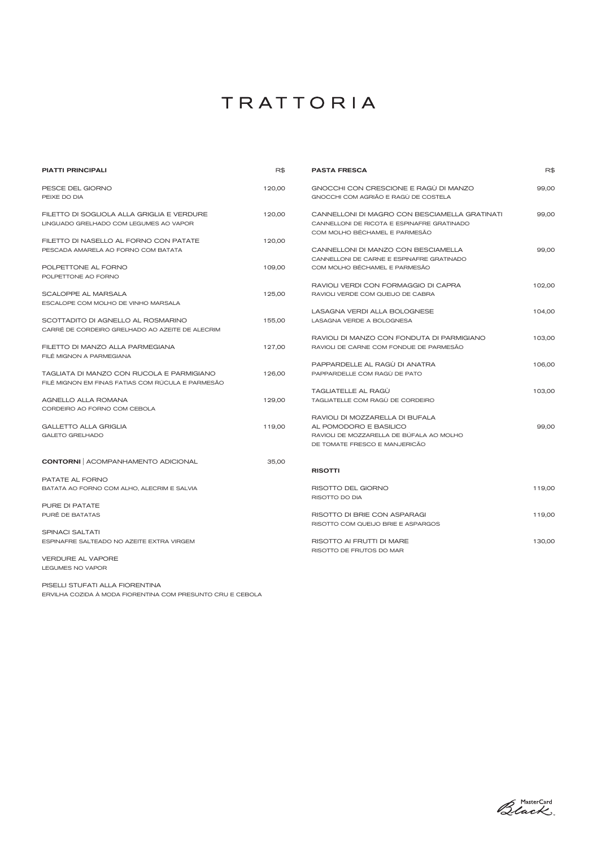| <b>PIATTI PRINCIPALI</b>                                     | R\$    | <b>PASTA FRESCA</b>                                                         | R\$    |
|--------------------------------------------------------------|--------|-----------------------------------------------------------------------------|--------|
| PESCE DEL GIORNO                                             | 120,00 | GNOCCHI CON CRESCIONE E RAGÙ DI MANZO                                       | 99,00  |
| PEIXE DO DIA                                                 |        | GNOCCHI COM AGRIÃO E RAGÙ DE COSTELA                                        |        |
| FILETTO DI SOGLIOLA ALLA GRIGLIA E VERDURE                   | 120,00 | CANNELLONI DI MAGRO CON BESCIAMELLA GRATINATI                               | 99,00  |
| LINGUADO GRELHADO COM LEGUMES AO VAPOR                       |        | CANNELLONI DE RICOTA E ESPINAFRE GRATINADO<br>COM MOLHO BÉCHAMEL E PARMESÃO |        |
| FILETTO DI NASELLO AL FORNO CON PATATE                       | 120,00 |                                                                             |        |
| PESCADA AMARELA AO FORNO COM BATATA                          |        | CANNELLONI DI MANZO CON BESCIAMELLA                                         | 99,00  |
|                                                              |        | CANNELLONI DE CARNE E ESPINAFRE GRATINADO                                   |        |
| POLPETTONE AL FORNO                                          | 109,00 | COM MOLHO BÉCHAMEL E PARMESÃO                                               |        |
| POLPETTONE AO FORNO                                          |        |                                                                             |        |
|                                                              |        | RAVIOLI VERDI CON FORMAGGIO DI CAPRA                                        | 102,00 |
| SCALOPPE AL MARSALA                                          | 125,00 | RAVIOLI VERDE COM QUEIJO DE CABRA                                           |        |
| ESCALOPE COM MOLHO DE VINHO MARSALA                          |        |                                                                             |        |
|                                                              |        | LASAGNA VERDI ALLA BOLOGNESE                                                | 104,00 |
| SCOTTADITO DI AGNELLO AL ROSMARINO                           | 155,00 | LASAGNA VERDE A BOLOGNESA                                                   |        |
| CARRÉ DE CORDEIRO GRELHADO AO AZEITE DE ALECRIM              |        |                                                                             |        |
|                                                              |        | RAVIOLI DI MANZO CON FONDUTA DI PARMIGIANO                                  | 103,00 |
| FILETTO DI MANZO ALLA PARMEGIANA<br>FILÉ MIGNON A PARMEGIANA | 127,00 | RAVIOLI DE CARNE COM FONDUE DE PARMESÃO                                     |        |
|                                                              |        | PAPPARDELLE AL RAGÙ DI ANATRA                                               | 106,00 |
| TAGLIATA DI MANZO CON RUCOLA E PARMIGIANO                    | 126,00 | PAPPARDELLE COM RAGÙ DE PATO                                                |        |
| FILÉ MIGNON EM FINAS FATIAS COM RÚCULA E PARMESÃO            |        |                                                                             |        |
|                                                              |        | TAGLIATELLE AL RAGU                                                         | 103,00 |
| AGNELLO ALLA ROMANA                                          | 129,00 | TAGLIATELLE COM RAGÙ DE CORDEIRO                                            |        |
| CORDEIRO AO FORNO COM CEBOLA                                 |        |                                                                             |        |
|                                                              |        | RAVIOLI DI MOZZARELLA DI BUFALA                                             |        |
| <b>GALLETTO ALLA GRIGLIA</b>                                 | 119,00 | AL POMODORO E BASILICO                                                      | 99,00  |
| <b>GALETO GRELHADO</b>                                       |        | RAVIOLI DE MOZZARELLA DE BÚFALA AO MOLHO                                    |        |
|                                                              |        | DE TOMATE FRESCO E MANJERICÃO                                               |        |
| <b>CONTORNI</b>   ACOMPANHAMENTO ADICIONAL                   | 35,00  |                                                                             |        |
|                                                              |        | <b>RISOTTI</b>                                                              |        |
| PATATE AL FORNO                                              |        |                                                                             |        |
| BATATA AO FORNO COM ALHO, ALECRIM E SALVIA                   |        | RISOTTO DEL GIORNO                                                          | 119,00 |
| PURE DI PATATE                                               |        | RISOTTO DO DIA                                                              |        |
|                                                              |        |                                                                             |        |
| PURÊ DE BATATAS                                              |        | RISOTTO DI BRIE CON ASPARAGI                                                | 119,00 |
| <b>SPINACI SALTATI</b>                                       |        | RISOTTO COM QUEIJO BRIE E ASPARGOS                                          |        |
| ESPINAFRE SALTEADO NO AZEITE EXTRA VIRGEM                    |        | RISOTTO AI FRUTTI DI MARE                                                   | 130,00 |
|                                                              |        | RISOTTO DE FRUTOS DO MAR                                                    |        |
| VERDURE AL VAPORE                                            |        |                                                                             |        |
| LEGUMES NO VAPOR                                             |        |                                                                             |        |
|                                                              |        |                                                                             |        |

PISELLI STUFATI ALLA FIORENTINA ERVILHA COZIDA À MODA FIORENTINA COM PRESUNTO CRU E CEBOLA

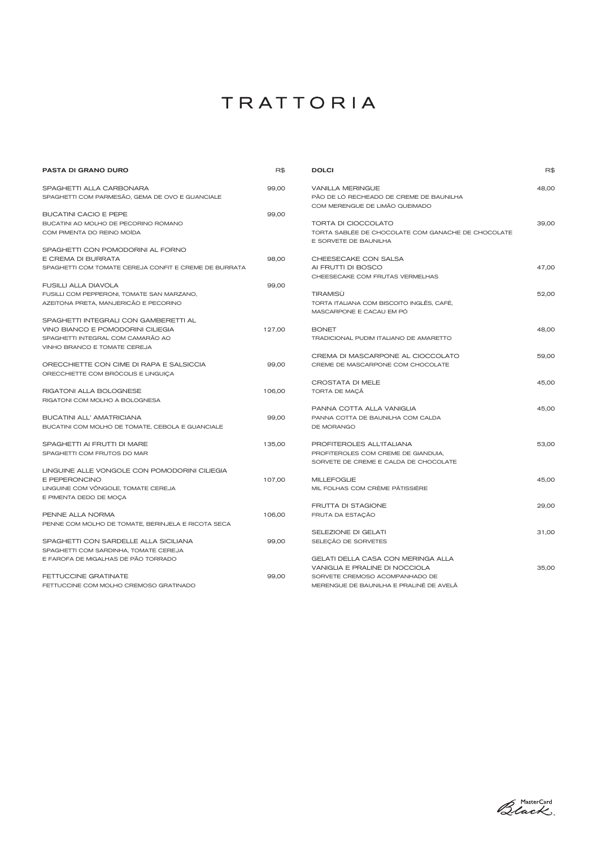| SPAGHETTI ALLA CARBONARA<br>99,00<br><b>VANILLA MERINGUE</b><br>48,00<br>PÃO DE LÓ RECHEADO DE CREME DE BAUNILHA<br>SPAGHETTI COM PARMESÃO, GEMA DE OVO E GUANCIALE<br>COM MERENGUE DE LIMÃO QUEIMADO<br><b>BUCATINI CACIO E PEPE</b><br>99,00<br><b>TORTA DI CIOCCOLATO</b><br>BUCATINI AO MOLHO DE PECORINO ROMANO<br>39,00<br>COM PIMENTA DO REINO MOÍDA<br>TORTA SABLÉE DE CHOCOLATE COM GANACHE DE CHOCOLATE<br>E SORVETE DE BAUNILHA<br>SPAGHETTI CON POMODORINI AL FORNO<br>98,00<br>E CREMA DI BURRATA<br>CHEESECAKE CON SALSA<br>AI FRUTTI DI BOSCO<br>47.00<br>SPAGHETTI COM TOMATE CEREJA CONFIT E CREME DE BURRATA<br>CHEESECAKE COM FRUTAS VERMELHAS<br><b>FUSILLI ALLA DIAVOLA</b><br>99,00<br>TIRAMISÙ<br>52,00<br>FUSILLI COM PEPPERONI, TOMATE SAN MARZANO,<br>AZEITONA PRETA, MANJERICÃO E PECORINO<br>TORTA ITALIANA COM BISCOITO INGLÊS, CAFÉ,<br>MASCARPONE E CACAU EM PÓ<br>SPAGHETTI INTEGRALI CON GAMBERETTI AL<br>VINO BIANCO E POMODORINI CILIEGIA<br>127,00<br><b>BONET</b><br>48,00<br>SPAGHETTI INTEGRAL COM CAMARÃO AO<br>TRADICIONAL PUDIM ITALIANO DE AMARETTO<br>VINHO BRANCO E TOMATE CEREJA<br>CREMA DI MASCARPONE AL CIOCCOLATO<br>59,00<br>ORECCHIETTE CON CIME DI RAPA E SALSICCIA<br>99,00<br>CREME DE MASCARPONE COM CHOCOLATE<br>ORECCHIETTE COM BRÓCOLIS E LINGUIÇA<br><b>CROSTATA DI MELE</b><br>45,00<br><b>RIGATONI ALLA BOLOGNESE</b><br>106,00<br>TORTA DE MAÇÃ<br>RIGATONI COM MOLHO A BOLOGNESA<br>PANNA COTTA ALLA VANIGLIA<br>45,00<br><b>BUCATINI ALL' AMATRICIANA</b><br>99,00<br>PANNA COTTA DE BAUNILHA COM CALDA<br>BUCATINI COM MOLHO DE TOMATE, CEBOLA E GUANCIALE<br>DE MORANGO<br>SPAGHETTI AI FRUTTI DI MARE<br>135,00<br>PROFITEROLES ALL'ITALIANA<br>53,00<br>SPAGHETTI COM FRUTOS DO MAR<br>PROFITEROLES COM CREME DE GIANDUIA,<br>SORVETE DE CREME E CALDA DE CHOCOLATE<br>LINGUINE ALLE VONGOLE CON POMODORINI CILIEGIA<br>107,00<br>E PEPERONCINO<br><b>MILLEFOGLIE</b><br>45,00<br>LINGUINE COM VÔNGOLE, TOMATE CEREJA<br>MIL FOLHAS COM CRÈME PÂTISSIÈRE<br>E PIMENTA DEDO DE MOÇA<br>FRUTTA DI STAGIONE<br>29,00<br>PENNE ALLA NORMA<br>106,00<br>FRUTA DA ESTAÇÃO<br>PENNE COM MOLHO DE TOMATE, BERINJELA E RICOTA SECA<br>SELEZIONE DI GELATI<br>31,00<br>SPAGHETTI CON SARDELLE ALLA SICILIANA<br>99,00<br>SELEÇÃO DE SORVETES<br>SPAGHETTI COM SARDINHA, TOMATE CEREJA<br>GELATI DELLA CASA CON MERINGA ALLA<br>E FAROFA DE MIGALHAS DE PÃO TORRADO<br>VANIGLIA E PRALINE DI NOCCIOLA<br>35,00<br>FETTUCCINE GRATINATE<br>99,00<br>SORVETE CREMOSO ACOMPANHADO DE<br>FETTUCCINE COM MOLHO CREMOSO GRATINADO<br>MERENGUE DE BAUNILHA E PRALINÉ DE AVELÂ | <b>PASTA DI GRANO DURO</b> | R\$ | <b>DOLCI</b> | R\$ |
|----------------------------------------------------------------------------------------------------------------------------------------------------------------------------------------------------------------------------------------------------------------------------------------------------------------------------------------------------------------------------------------------------------------------------------------------------------------------------------------------------------------------------------------------------------------------------------------------------------------------------------------------------------------------------------------------------------------------------------------------------------------------------------------------------------------------------------------------------------------------------------------------------------------------------------------------------------------------------------------------------------------------------------------------------------------------------------------------------------------------------------------------------------------------------------------------------------------------------------------------------------------------------------------------------------------------------------------------------------------------------------------------------------------------------------------------------------------------------------------------------------------------------------------------------------------------------------------------------------------------------------------------------------------------------------------------------------------------------------------------------------------------------------------------------------------------------------------------------------------------------------------------------------------------------------------------------------------------------------------------------------------------------------------------------------------------------------------------------------------------------------------------------------------------------------------------------------------------------------------------------------------------------------------------------------------------------------------------------------------------------------------------------------------------------------------------------------------------------------------------------------------------------------------------------------------------------------------------------------------------------------|----------------------------|-----|--------------|-----|
|                                                                                                                                                                                                                                                                                                                                                                                                                                                                                                                                                                                                                                                                                                                                                                                                                                                                                                                                                                                                                                                                                                                                                                                                                                                                                                                                                                                                                                                                                                                                                                                                                                                                                                                                                                                                                                                                                                                                                                                                                                                                                                                                                                                                                                                                                                                                                                                                                                                                                                                                                                                                                                  |                            |     |              |     |
|                                                                                                                                                                                                                                                                                                                                                                                                                                                                                                                                                                                                                                                                                                                                                                                                                                                                                                                                                                                                                                                                                                                                                                                                                                                                                                                                                                                                                                                                                                                                                                                                                                                                                                                                                                                                                                                                                                                                                                                                                                                                                                                                                                                                                                                                                                                                                                                                                                                                                                                                                                                                                                  |                            |     |              |     |
|                                                                                                                                                                                                                                                                                                                                                                                                                                                                                                                                                                                                                                                                                                                                                                                                                                                                                                                                                                                                                                                                                                                                                                                                                                                                                                                                                                                                                                                                                                                                                                                                                                                                                                                                                                                                                                                                                                                                                                                                                                                                                                                                                                                                                                                                                                                                                                                                                                                                                                                                                                                                                                  |                            |     |              |     |
|                                                                                                                                                                                                                                                                                                                                                                                                                                                                                                                                                                                                                                                                                                                                                                                                                                                                                                                                                                                                                                                                                                                                                                                                                                                                                                                                                                                                                                                                                                                                                                                                                                                                                                                                                                                                                                                                                                                                                                                                                                                                                                                                                                                                                                                                                                                                                                                                                                                                                                                                                                                                                                  |                            |     |              |     |
|                                                                                                                                                                                                                                                                                                                                                                                                                                                                                                                                                                                                                                                                                                                                                                                                                                                                                                                                                                                                                                                                                                                                                                                                                                                                                                                                                                                                                                                                                                                                                                                                                                                                                                                                                                                                                                                                                                                                                                                                                                                                                                                                                                                                                                                                                                                                                                                                                                                                                                                                                                                                                                  |                            |     |              |     |
|                                                                                                                                                                                                                                                                                                                                                                                                                                                                                                                                                                                                                                                                                                                                                                                                                                                                                                                                                                                                                                                                                                                                                                                                                                                                                                                                                                                                                                                                                                                                                                                                                                                                                                                                                                                                                                                                                                                                                                                                                                                                                                                                                                                                                                                                                                                                                                                                                                                                                                                                                                                                                                  |                            |     |              |     |
|                                                                                                                                                                                                                                                                                                                                                                                                                                                                                                                                                                                                                                                                                                                                                                                                                                                                                                                                                                                                                                                                                                                                                                                                                                                                                                                                                                                                                                                                                                                                                                                                                                                                                                                                                                                                                                                                                                                                                                                                                                                                                                                                                                                                                                                                                                                                                                                                                                                                                                                                                                                                                                  |                            |     |              |     |
|                                                                                                                                                                                                                                                                                                                                                                                                                                                                                                                                                                                                                                                                                                                                                                                                                                                                                                                                                                                                                                                                                                                                                                                                                                                                                                                                                                                                                                                                                                                                                                                                                                                                                                                                                                                                                                                                                                                                                                                                                                                                                                                                                                                                                                                                                                                                                                                                                                                                                                                                                                                                                                  |                            |     |              |     |
|                                                                                                                                                                                                                                                                                                                                                                                                                                                                                                                                                                                                                                                                                                                                                                                                                                                                                                                                                                                                                                                                                                                                                                                                                                                                                                                                                                                                                                                                                                                                                                                                                                                                                                                                                                                                                                                                                                                                                                                                                                                                                                                                                                                                                                                                                                                                                                                                                                                                                                                                                                                                                                  |                            |     |              |     |
|                                                                                                                                                                                                                                                                                                                                                                                                                                                                                                                                                                                                                                                                                                                                                                                                                                                                                                                                                                                                                                                                                                                                                                                                                                                                                                                                                                                                                                                                                                                                                                                                                                                                                                                                                                                                                                                                                                                                                                                                                                                                                                                                                                                                                                                                                                                                                                                                                                                                                                                                                                                                                                  |                            |     |              |     |
|                                                                                                                                                                                                                                                                                                                                                                                                                                                                                                                                                                                                                                                                                                                                                                                                                                                                                                                                                                                                                                                                                                                                                                                                                                                                                                                                                                                                                                                                                                                                                                                                                                                                                                                                                                                                                                                                                                                                                                                                                                                                                                                                                                                                                                                                                                                                                                                                                                                                                                                                                                                                                                  |                            |     |              |     |
|                                                                                                                                                                                                                                                                                                                                                                                                                                                                                                                                                                                                                                                                                                                                                                                                                                                                                                                                                                                                                                                                                                                                                                                                                                                                                                                                                                                                                                                                                                                                                                                                                                                                                                                                                                                                                                                                                                                                                                                                                                                                                                                                                                                                                                                                                                                                                                                                                                                                                                                                                                                                                                  |                            |     |              |     |
|                                                                                                                                                                                                                                                                                                                                                                                                                                                                                                                                                                                                                                                                                                                                                                                                                                                                                                                                                                                                                                                                                                                                                                                                                                                                                                                                                                                                                                                                                                                                                                                                                                                                                                                                                                                                                                                                                                                                                                                                                                                                                                                                                                                                                                                                                                                                                                                                                                                                                                                                                                                                                                  |                            |     |              |     |
|                                                                                                                                                                                                                                                                                                                                                                                                                                                                                                                                                                                                                                                                                                                                                                                                                                                                                                                                                                                                                                                                                                                                                                                                                                                                                                                                                                                                                                                                                                                                                                                                                                                                                                                                                                                                                                                                                                                                                                                                                                                                                                                                                                                                                                                                                                                                                                                                                                                                                                                                                                                                                                  |                            |     |              |     |
|                                                                                                                                                                                                                                                                                                                                                                                                                                                                                                                                                                                                                                                                                                                                                                                                                                                                                                                                                                                                                                                                                                                                                                                                                                                                                                                                                                                                                                                                                                                                                                                                                                                                                                                                                                                                                                                                                                                                                                                                                                                                                                                                                                                                                                                                                                                                                                                                                                                                                                                                                                                                                                  |                            |     |              |     |
|                                                                                                                                                                                                                                                                                                                                                                                                                                                                                                                                                                                                                                                                                                                                                                                                                                                                                                                                                                                                                                                                                                                                                                                                                                                                                                                                                                                                                                                                                                                                                                                                                                                                                                                                                                                                                                                                                                                                                                                                                                                                                                                                                                                                                                                                                                                                                                                                                                                                                                                                                                                                                                  |                            |     |              |     |
|                                                                                                                                                                                                                                                                                                                                                                                                                                                                                                                                                                                                                                                                                                                                                                                                                                                                                                                                                                                                                                                                                                                                                                                                                                                                                                                                                                                                                                                                                                                                                                                                                                                                                                                                                                                                                                                                                                                                                                                                                                                                                                                                                                                                                                                                                                                                                                                                                                                                                                                                                                                                                                  |                            |     |              |     |
|                                                                                                                                                                                                                                                                                                                                                                                                                                                                                                                                                                                                                                                                                                                                                                                                                                                                                                                                                                                                                                                                                                                                                                                                                                                                                                                                                                                                                                                                                                                                                                                                                                                                                                                                                                                                                                                                                                                                                                                                                                                                                                                                                                                                                                                                                                                                                                                                                                                                                                                                                                                                                                  |                            |     |              |     |
|                                                                                                                                                                                                                                                                                                                                                                                                                                                                                                                                                                                                                                                                                                                                                                                                                                                                                                                                                                                                                                                                                                                                                                                                                                                                                                                                                                                                                                                                                                                                                                                                                                                                                                                                                                                                                                                                                                                                                                                                                                                                                                                                                                                                                                                                                                                                                                                                                                                                                                                                                                                                                                  |                            |     |              |     |
|                                                                                                                                                                                                                                                                                                                                                                                                                                                                                                                                                                                                                                                                                                                                                                                                                                                                                                                                                                                                                                                                                                                                                                                                                                                                                                                                                                                                                                                                                                                                                                                                                                                                                                                                                                                                                                                                                                                                                                                                                                                                                                                                                                                                                                                                                                                                                                                                                                                                                                                                                                                                                                  |                            |     |              |     |
|                                                                                                                                                                                                                                                                                                                                                                                                                                                                                                                                                                                                                                                                                                                                                                                                                                                                                                                                                                                                                                                                                                                                                                                                                                                                                                                                                                                                                                                                                                                                                                                                                                                                                                                                                                                                                                                                                                                                                                                                                                                                                                                                                                                                                                                                                                                                                                                                                                                                                                                                                                                                                                  |                            |     |              |     |
|                                                                                                                                                                                                                                                                                                                                                                                                                                                                                                                                                                                                                                                                                                                                                                                                                                                                                                                                                                                                                                                                                                                                                                                                                                                                                                                                                                                                                                                                                                                                                                                                                                                                                                                                                                                                                                                                                                                                                                                                                                                                                                                                                                                                                                                                                                                                                                                                                                                                                                                                                                                                                                  |                            |     |              |     |
|                                                                                                                                                                                                                                                                                                                                                                                                                                                                                                                                                                                                                                                                                                                                                                                                                                                                                                                                                                                                                                                                                                                                                                                                                                                                                                                                                                                                                                                                                                                                                                                                                                                                                                                                                                                                                                                                                                                                                                                                                                                                                                                                                                                                                                                                                                                                                                                                                                                                                                                                                                                                                                  |                            |     |              |     |
|                                                                                                                                                                                                                                                                                                                                                                                                                                                                                                                                                                                                                                                                                                                                                                                                                                                                                                                                                                                                                                                                                                                                                                                                                                                                                                                                                                                                                                                                                                                                                                                                                                                                                                                                                                                                                                                                                                                                                                                                                                                                                                                                                                                                                                                                                                                                                                                                                                                                                                                                                                                                                                  |                            |     |              |     |
|                                                                                                                                                                                                                                                                                                                                                                                                                                                                                                                                                                                                                                                                                                                                                                                                                                                                                                                                                                                                                                                                                                                                                                                                                                                                                                                                                                                                                                                                                                                                                                                                                                                                                                                                                                                                                                                                                                                                                                                                                                                                                                                                                                                                                                                                                                                                                                                                                                                                                                                                                                                                                                  |                            |     |              |     |
|                                                                                                                                                                                                                                                                                                                                                                                                                                                                                                                                                                                                                                                                                                                                                                                                                                                                                                                                                                                                                                                                                                                                                                                                                                                                                                                                                                                                                                                                                                                                                                                                                                                                                                                                                                                                                                                                                                                                                                                                                                                                                                                                                                                                                                                                                                                                                                                                                                                                                                                                                                                                                                  |                            |     |              |     |
|                                                                                                                                                                                                                                                                                                                                                                                                                                                                                                                                                                                                                                                                                                                                                                                                                                                                                                                                                                                                                                                                                                                                                                                                                                                                                                                                                                                                                                                                                                                                                                                                                                                                                                                                                                                                                                                                                                                                                                                                                                                                                                                                                                                                                                                                                                                                                                                                                                                                                                                                                                                                                                  |                            |     |              |     |
|                                                                                                                                                                                                                                                                                                                                                                                                                                                                                                                                                                                                                                                                                                                                                                                                                                                                                                                                                                                                                                                                                                                                                                                                                                                                                                                                                                                                                                                                                                                                                                                                                                                                                                                                                                                                                                                                                                                                                                                                                                                                                                                                                                                                                                                                                                                                                                                                                                                                                                                                                                                                                                  |                            |     |              |     |
|                                                                                                                                                                                                                                                                                                                                                                                                                                                                                                                                                                                                                                                                                                                                                                                                                                                                                                                                                                                                                                                                                                                                                                                                                                                                                                                                                                                                                                                                                                                                                                                                                                                                                                                                                                                                                                                                                                                                                                                                                                                                                                                                                                                                                                                                                                                                                                                                                                                                                                                                                                                                                                  |                            |     |              |     |
|                                                                                                                                                                                                                                                                                                                                                                                                                                                                                                                                                                                                                                                                                                                                                                                                                                                                                                                                                                                                                                                                                                                                                                                                                                                                                                                                                                                                                                                                                                                                                                                                                                                                                                                                                                                                                                                                                                                                                                                                                                                                                                                                                                                                                                                                                                                                                                                                                                                                                                                                                                                                                                  |                            |     |              |     |
|                                                                                                                                                                                                                                                                                                                                                                                                                                                                                                                                                                                                                                                                                                                                                                                                                                                                                                                                                                                                                                                                                                                                                                                                                                                                                                                                                                                                                                                                                                                                                                                                                                                                                                                                                                                                                                                                                                                                                                                                                                                                                                                                                                                                                                                                                                                                                                                                                                                                                                                                                                                                                                  |                            |     |              |     |
|                                                                                                                                                                                                                                                                                                                                                                                                                                                                                                                                                                                                                                                                                                                                                                                                                                                                                                                                                                                                                                                                                                                                                                                                                                                                                                                                                                                                                                                                                                                                                                                                                                                                                                                                                                                                                                                                                                                                                                                                                                                                                                                                                                                                                                                                                                                                                                                                                                                                                                                                                                                                                                  |                            |     |              |     |
|                                                                                                                                                                                                                                                                                                                                                                                                                                                                                                                                                                                                                                                                                                                                                                                                                                                                                                                                                                                                                                                                                                                                                                                                                                                                                                                                                                                                                                                                                                                                                                                                                                                                                                                                                                                                                                                                                                                                                                                                                                                                                                                                                                                                                                                                                                                                                                                                                                                                                                                                                                                                                                  |                            |     |              |     |
|                                                                                                                                                                                                                                                                                                                                                                                                                                                                                                                                                                                                                                                                                                                                                                                                                                                                                                                                                                                                                                                                                                                                                                                                                                                                                                                                                                                                                                                                                                                                                                                                                                                                                                                                                                                                                                                                                                                                                                                                                                                                                                                                                                                                                                                                                                                                                                                                                                                                                                                                                                                                                                  |                            |     |              |     |
|                                                                                                                                                                                                                                                                                                                                                                                                                                                                                                                                                                                                                                                                                                                                                                                                                                                                                                                                                                                                                                                                                                                                                                                                                                                                                                                                                                                                                                                                                                                                                                                                                                                                                                                                                                                                                                                                                                                                                                                                                                                                                                                                                                                                                                                                                                                                                                                                                                                                                                                                                                                                                                  |                            |     |              |     |
|                                                                                                                                                                                                                                                                                                                                                                                                                                                                                                                                                                                                                                                                                                                                                                                                                                                                                                                                                                                                                                                                                                                                                                                                                                                                                                                                                                                                                                                                                                                                                                                                                                                                                                                                                                                                                                                                                                                                                                                                                                                                                                                                                                                                                                                                                                                                                                                                                                                                                                                                                                                                                                  |                            |     |              |     |
|                                                                                                                                                                                                                                                                                                                                                                                                                                                                                                                                                                                                                                                                                                                                                                                                                                                                                                                                                                                                                                                                                                                                                                                                                                                                                                                                                                                                                                                                                                                                                                                                                                                                                                                                                                                                                                                                                                                                                                                                                                                                                                                                                                                                                                                                                                                                                                                                                                                                                                                                                                                                                                  |                            |     |              |     |
|                                                                                                                                                                                                                                                                                                                                                                                                                                                                                                                                                                                                                                                                                                                                                                                                                                                                                                                                                                                                                                                                                                                                                                                                                                                                                                                                                                                                                                                                                                                                                                                                                                                                                                                                                                                                                                                                                                                                                                                                                                                                                                                                                                                                                                                                                                                                                                                                                                                                                                                                                                                                                                  |                            |     |              |     |
|                                                                                                                                                                                                                                                                                                                                                                                                                                                                                                                                                                                                                                                                                                                                                                                                                                                                                                                                                                                                                                                                                                                                                                                                                                                                                                                                                                                                                                                                                                                                                                                                                                                                                                                                                                                                                                                                                                                                                                                                                                                                                                                                                                                                                                                                                                                                                                                                                                                                                                                                                                                                                                  |                            |     |              |     |
|                                                                                                                                                                                                                                                                                                                                                                                                                                                                                                                                                                                                                                                                                                                                                                                                                                                                                                                                                                                                                                                                                                                                                                                                                                                                                                                                                                                                                                                                                                                                                                                                                                                                                                                                                                                                                                                                                                                                                                                                                                                                                                                                                                                                                                                                                                                                                                                                                                                                                                                                                                                                                                  |                            |     |              |     |
|                                                                                                                                                                                                                                                                                                                                                                                                                                                                                                                                                                                                                                                                                                                                                                                                                                                                                                                                                                                                                                                                                                                                                                                                                                                                                                                                                                                                                                                                                                                                                                                                                                                                                                                                                                                                                                                                                                                                                                                                                                                                                                                                                                                                                                                                                                                                                                                                                                                                                                                                                                                                                                  |                            |     |              |     |
|                                                                                                                                                                                                                                                                                                                                                                                                                                                                                                                                                                                                                                                                                                                                                                                                                                                                                                                                                                                                                                                                                                                                                                                                                                                                                                                                                                                                                                                                                                                                                                                                                                                                                                                                                                                                                                                                                                                                                                                                                                                                                                                                                                                                                                                                                                                                                                                                                                                                                                                                                                                                                                  |                            |     |              |     |

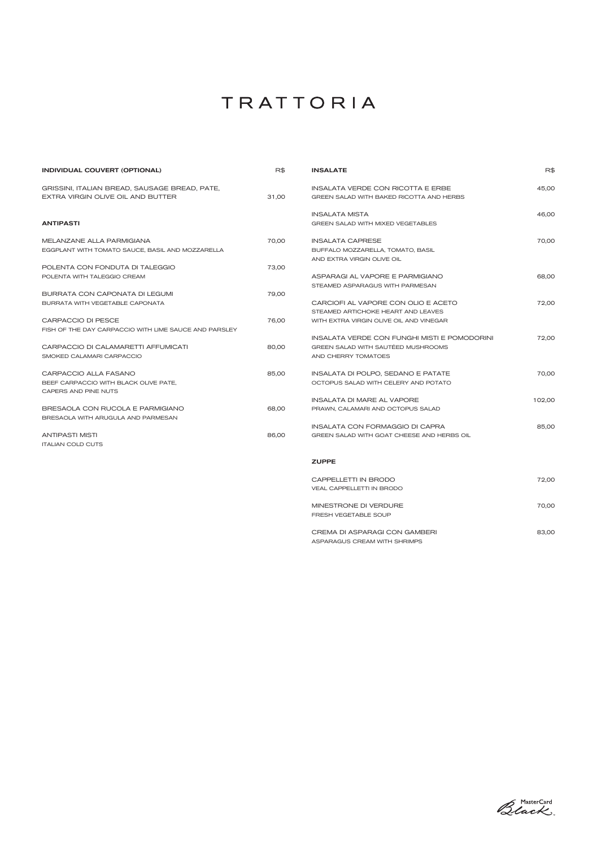| <b>INDIVIDUAL COUVERT (OPTIONAL)</b>                  | R\$   | <b>INSALATE</b>                              | R\$    |
|-------------------------------------------------------|-------|----------------------------------------------|--------|
| GRISSINI, ITALIAN BREAD, SAUSAGE BREAD, PATE,         |       | <b>INSALATA VERDE CON RICOTTA E ERBE</b>     | 45,00  |
| EXTRA VIRGIN OLIVE OIL AND BUTTER                     | 31,00 | GREEN SALAD WITH BAKED RICOTTA AND HERBS     |        |
|                                                       |       | <b>INSALATA MISTA</b>                        | 46,00  |
| <b>ANTIPASTI</b>                                      |       | <b>GREEN SALAD WITH MIXED VEGETABLES</b>     |        |
| MELANZANE ALLA PARMIGIANA                             | 70,00 | <b>INSALATA CAPRESE</b>                      | 70,00  |
| EGGPLANT WITH TOMATO SAUCE, BASIL AND MOZZARELLA      |       | BUFFALO MOZZARELLA, TOMATO, BASIL            |        |
|                                                       |       | AND EXTRA VIRGIN OLIVE OIL                   |        |
| POLENTA CON FONDUTA DI TALEGGIO                       | 73,00 |                                              |        |
| POLENTA WITH TALEGGIO CREAM                           |       | ASPARAGI AL VAPORE E PARMIGIANO              | 68,00  |
|                                                       |       | STEAMED ASPARAGUS WITH PARMESAN              |        |
| BURRATA CON CAPONATA DI LEGUMI                        | 79,00 |                                              |        |
| BURRATA WITH VEGETABLE CAPONATA                       |       | CARCIOFI AL VAPORE CON OLIO E ACETO          | 72,00  |
|                                                       |       | STEAMED ARTICHOKE HEART AND LEAVES           |        |
| CARPACCIO DI PESCE                                    | 76,00 | WITH EXTRA VIRGIN OLIVE OIL AND VINEGAR      |        |
| FISH OF THE DAY CARPACCIO WITH LIME SAUCE AND PARSLEY |       |                                              |        |
|                                                       |       | INSALATA VERDE CON FUNGHI MISTI E POMODORINI | 72,00  |
| CARPACCIO DI CALAMARETTI AFFUMICATI                   | 80,00 | GREEN SALAD WITH SAUTÉED MUSHROOMS           |        |
| SMOKED CALAMARI CARPACCIO                             |       | AND CHERRY TOMATOES                          |        |
| CARPACCIO ALLA FASANO                                 | 85,00 | INSALATA DI POLPO, SEDANO E PATATE           | 70,00  |
| BEEF CARPACCIO WITH BLACK OLIVE PATE,                 |       | OCTOPUS SALAD WITH CELERY AND POTATO         |        |
| CAPERS AND PINE NUTS                                  |       |                                              |        |
|                                                       |       | <b>INSALATA DI MARE AL VAPORE</b>            | 102,00 |
| BRESAOLA CON RUCOLA E PARMIGIANO                      | 68,00 | PRAWN, CALAMARI AND OCTOPUS SALAD            |        |
| BRESAOLA WITH ARUGULA AND PARMESAN                    |       |                                              |        |
|                                                       |       | <b>INSALATA CON FORMAGGIO DI CAPRA</b>       | 85,00  |
| <b>ANTIPASTI MISTI</b>                                | 86,00 | GREEN SALAD WITH GOAT CHEESE AND HERBS OIL   |        |
| <b>ITALIAN COLD CUTS</b>                              |       |                                              |        |
|                                                       |       | <b>ZUPPE</b>                                 |        |
|                                                       |       | CAPPELLETTI IN BRODO                         | 72,00  |
|                                                       |       | VEAL CAPPELLETTI IN BRODO                    |        |
|                                                       |       |                                              |        |

CREMA DI ASPARAGI CON GAMBERI 83,00 ASPARAGUS CREAM WITH SHRIMPS

MINESTRONE DI VERDURE 2000

FRESH VEGETABLE SOUP

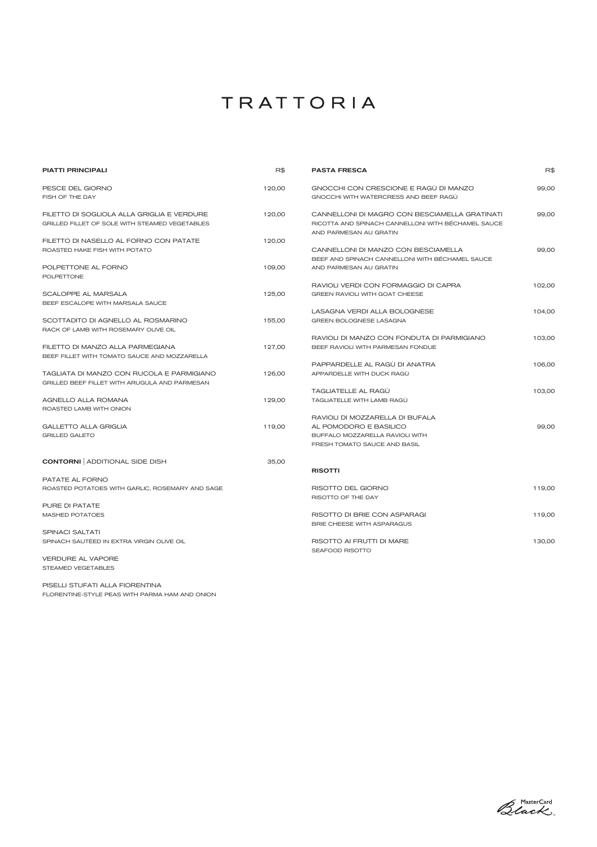STEAMED VEGETABLES



PISELLI STUFATI ALLA FIORENTINA FLORENTINE-STYLE PEAS WITH PARMA HAM AND ONION

# TRATTORIA

| <b>PIATTI PRINCIPALI</b>                                                   | R\$    | <b>PASTA FRESCA</b>                                                          | R\$    |
|----------------------------------------------------------------------------|--------|------------------------------------------------------------------------------|--------|
| PESCE DEL GIORNO                                                           | 120,00 | GNOCCHI CON CRESCIONE E RAGÙ DI MANZO                                        | 99,00  |
| FISH OF THE DAY                                                            |        | GNOCCHI WITH WATERCRESS AND BEEF RAGU                                        |        |
| FILETTO DI SOGLIOLA ALLA GRIGLIA E VERDURE                                 | 120,00 | CANNELLONI DI MAGRO CON BESCIAMELLA GRATINATI                                | 99,00  |
| <b>GRILLED FILLET OF SOLE WITH STEAMED VEGETABLES</b>                      |        | RICOTTA AND SPINACH CANNELLONI WITH BÉCHAMEL SAUCE<br>AND PARMESAN AU GRATIN |        |
| FILETTO DI NASELLO AL FORNO CON PATATE                                     | 120,00 |                                                                              |        |
| ROASTED HAKE FISH WITH POTATO                                              |        | CANNELLONI DI MANZO CON BESCIAMELLA                                          | 99,00  |
|                                                                            |        | BEEF AND SPINACH CANNELLONI WITH BÉCHAMEL SAUCE                              |        |
| POLPETTONE AL FORNO<br><b>POLPETTONE</b>                                   | 109,00 | AND PARMESAN AU GRATIN                                                       |        |
|                                                                            |        | RAVIOLI VERDI CON FORMAGGIO DI CAPRA                                         | 102,00 |
| SCALOPPE AL MARSALA<br>BEEF ESCALOPE WITH MARSALA SAUCE                    | 125,00 | <b>GREEN RAVIOLI WITH GOAT CHEESE</b>                                        |        |
|                                                                            |        | LASAGNA VERDI ALLA BOLOGNESE                                                 | 104,00 |
| SCOTTADITO DI AGNELLO AL ROSMARINO<br>RACK OF LAMB WITH ROSEMARY OLIVE OIL | 155,00 | <b>GREEN BOLOGNESE LASAGNA</b>                                               |        |
|                                                                            |        | RAVIOLI DI MANZO CON FONDUTA DI PARMIGIANO                                   | 103.00 |
| FILETTO DI MANZO ALLA PARMEGIANA                                           | 127,00 | BEEF RAVIOLI WITH PARMESAN FONDUE                                            |        |
| BEEF FILLET WITH TOMATO SAUCE AND MOZZARELLA                               |        |                                                                              |        |
|                                                                            |        | PAPPARDELLE AL RAGÙ DI ANATRA                                                | 106,00 |
| TAGLIATA DI MANZO CON RUCOLA E PARMIGIANO                                  | 126,00 | APPARDELLE WITH DUCK RAGU                                                    |        |
| <b>GRILLED BEEF FILLET WITH ARUGULA AND PARMESAN</b>                       |        |                                                                              |        |
|                                                                            |        | TAGLIATELLE AL RAGU                                                          | 103,00 |
| AGNELLO ALLA ROMANA<br>ROASTED LAMB WITH ONION                             | 129,00 | TAGLIATELLE WITH LAMB RAGÙ                                                   |        |
|                                                                            |        | RAVIOLI DI MOZZARELLA DI BUFALA                                              |        |
| <b>GALLETTO ALLA GRIGLIA</b>                                               | 119,00 | AL POMODORO E BASILICO                                                       | 99,00  |
| <b>GRILLED GALETO</b>                                                      |        | BUFFALO MOZZARELLA RAVIOLI WITH                                              |        |
|                                                                            |        | FRESH TOMATO SAUCE AND BASIL                                                 |        |
| <b>CONTORNI</b> ADDITIONAL SIDE DISH                                       | 35,00  |                                                                              |        |
|                                                                            |        | <b>RISOTTI</b>                                                               |        |
| PATATE AL FORNO                                                            |        |                                                                              |        |
| ROASTED POTATOES WITH GARLIC, ROSEMARY AND SAGE                            |        | RISOTTO DEL GIORNO                                                           | 119,00 |
|                                                                            |        | RISOTTO OF THE DAY                                                           |        |
| PURE DI PATATE                                                             |        |                                                                              |        |
| <b>MASHED POTATOES</b>                                                     |        | RISOTTO DI BRIE CON ASPARAGI                                                 | 119,00 |
| <b>SPINACI SALTATI</b>                                                     |        | <b>BRIE CHEESE WITH ASPARAGUS</b>                                            |        |
| SPINACH SAUTÉED IN EXTRA VIRGIN OLIVE OIL                                  |        | RISOTTO AI FRUTTI DI MARE                                                    | 130,00 |
|                                                                            |        | SEAFOOD RISOTTO                                                              |        |
| <b>VERDURE AL VAPORE</b>                                                   |        |                                                                              |        |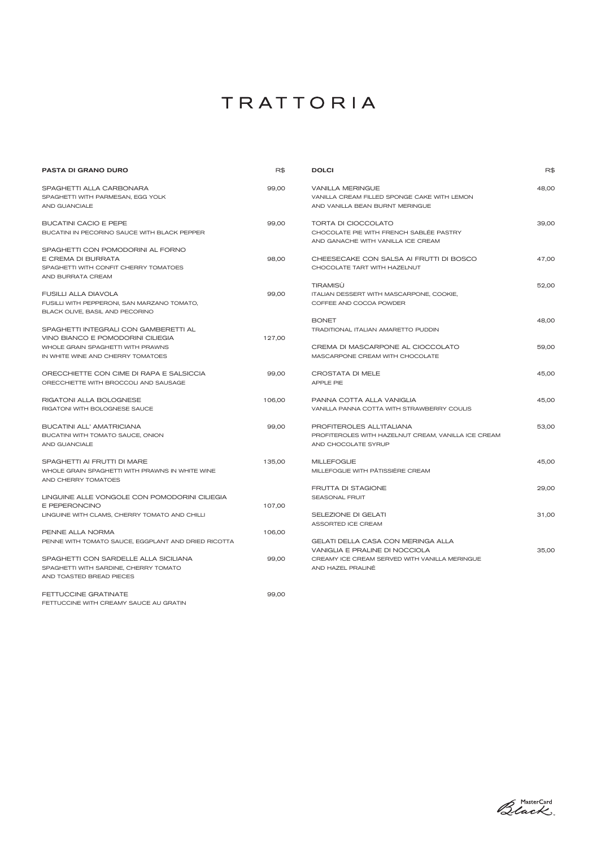| <b>PASTA DI GRANO DURO</b>                                        | R\$    | <b>DOLCI</b>                                                                    | R\$   |
|-------------------------------------------------------------------|--------|---------------------------------------------------------------------------------|-------|
| SPAGHETTI ALLA CARBONARA                                          | 99,00  | <b>VANILLA MERINGUE</b>                                                         | 48,00 |
| SPAGHETTI WITH PARMESAN, EGG YOLK                                 |        | VANILLA CREAM FILLED SPONGE CAKE WITH LEMON                                     |       |
| AND GUANCIALE                                                     |        | AND VANILLA BEAN BURNT MERINGUE                                                 |       |
| BUCATINI CACIO E PEPE                                             | 99,00  | <b>TORTA DI CIOCCOLATO</b>                                                      | 39,00 |
| BUCATINI IN PECORINO SAUCE WITH BLACK PEPPER                      |        | CHOCOLATE PIE WITH FRENCH SABLÉE PASTRY                                         |       |
|                                                                   |        | AND GANACHE WITH VANILLA ICE CREAM                                              |       |
| SPAGHETTI CON POMODORINI AL FORNO                                 |        |                                                                                 |       |
| E CREMA DI BURRATA                                                | 98,00  | CHEESECAKE CON SALSA AI FRUTTI DI BOSCO                                         | 47,00 |
| SPAGHETTI WITH CONFIT CHERRY TOMATOES                             |        | CHOCOLATE TART WITH HAZELNUT                                                    |       |
| AND BURRATA CREAM                                                 |        |                                                                                 |       |
|                                                                   |        | TIRAMISÙ                                                                        | 52,00 |
| <b>FUSILLI ALLA DIAVOLA</b>                                       | 99,00  | ITALIAN DESSERT WITH MASCARPONE, COOKIE,                                        |       |
| FUSILLI WITH PEPPERONI, SAN MARZANO TOMATO,                       |        | COFFEE AND COCOA POWDER                                                         |       |
| BLACK OLIVE, BASIL AND PECORINO                                   |        |                                                                                 |       |
|                                                                   |        | <b>BONET</b>                                                                    | 48,00 |
| SPAGHETTI INTEGRALI CON GAMBERETTI AL                             |        | <b>TRADITIONAL ITALIAN AMARETTO PUDDIN</b>                                      |       |
| VINO BIANCO E POMODORINI CILIEGIA                                 | 127,00 |                                                                                 |       |
| WHOLE GRAIN SPAGHETTI WITH PRAWNS                                 |        | CREMA DI MASCARPONE AL CIOCCOLATO                                               | 59,00 |
| IN WHITE WINE AND CHERRY TOMATOES                                 |        | MASCARPONE CREAM WITH CHOCOLATE                                                 |       |
| ORECCHIETTE CON CIME DI RAPA E SALSICCIA                          | 99,00  | CROSTATA DI MELE                                                                | 45,00 |
| ORECCHIETTE WITH BROCCOLI AND SAUSAGE                             |        | <b>APPLE PIE</b>                                                                |       |
| RIGATONI ALLA BOLOGNESE                                           | 106,00 | PANNA COTTA ALLA VANIGLIA                                                       | 45,00 |
| RIGATONI WITH BOLOGNESE SAUCE                                     |        | VANILLA PANNA COTTA WITH STRAWBERRY COULIS                                      |       |
| BUCATINI ALL' AMATRICIANA                                         | 99,00  | PROFITEROLES ALL'ITALIANA                                                       | 53,00 |
| BUCATINI WITH TOMATO SAUCE, ONION                                 |        | PROFITEROLES WITH HAZELNUT CREAM, VANILLA ICE CREAM                             |       |
| AND GUANCIALE                                                     |        | AND CHOCOLATE SYRUP                                                             |       |
| SPAGHETTI AI FRUTTI DI MARE                                       | 135,00 | <b>MILLEFOGLIE</b>                                                              | 45,00 |
| WHOLE GRAIN SPAGHETTI WITH PRAWNS IN WHITE WINE                   |        | MILLEFOGLIE WITH PÂTISSIÈRE CREAM                                               |       |
| AND CHERRY TOMATOES                                               |        |                                                                                 |       |
|                                                                   |        | <b>FRUTTA DI STAGIONE</b>                                                       | 29,00 |
| LINGUINE ALLE VONGOLE CON POMODORINI CILIEGIA                     |        | <b>SEASONAL FRUIT</b>                                                           |       |
| E PEPERONCINO                                                     | 107,00 |                                                                                 |       |
| LINGUINE WITH CLAMS, CHERRY TOMATO AND CHILLI                     |        | SELEZIONE DI GELATI                                                             | 31,00 |
|                                                                   |        | ASSORTED ICE CREAM                                                              |       |
| PENNE ALLA NORMA                                                  | 106,00 |                                                                                 |       |
| PENNE WITH TOMATO SAUCE, EGGPLANT AND DRIED RICOTTA               |        | GELATI DELLA CASA CON MERINGA ALLA                                              |       |
| SPAGHETTI CON SARDELLE ALLA SICILIANA                             | 99,00  | VANIGLIA E PRALINE DI NOCCIOLA<br>CREAMY ICE CREAM SERVED WITH VANILLA MERINGUE | 35,00 |
|                                                                   |        |                                                                                 |       |
| SPAGHETTI WITH SARDINE, CHERRY TOMATO<br>AND TOASTED BREAD PIECES |        | AND HAZEL PRALINÉ                                                               |       |
| FETTUCCINE GRATINATE                                              | 99,00  |                                                                                 |       |

FETTUCCINE WITH CREAMY SAUCE AU GRATIN

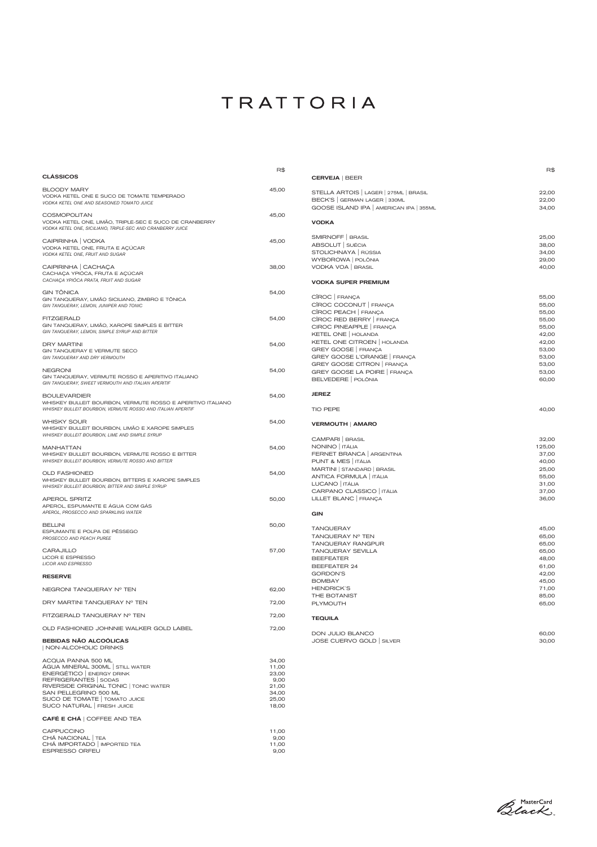|                                                                                                         | R\$   |                                         | R\$    |
|---------------------------------------------------------------------------------------------------------|-------|-----------------------------------------|--------|
| <b>CLÁSSICOS</b>                                                                                        |       | <b>CERVEJA   BEER</b>                   |        |
| <b>BLOODY MARY</b>                                                                                      | 45,00 | STELLA ARTOIS   LAGER   275ML   BRASIL  | 22,00  |
| VODKA KETEL ONE E SUCO DE TOMATE TEMPERADO                                                              |       | BECK'S   GERMAN LAGER   330ML           | 22,00  |
| VODKA KETEL ONE AND SEASONED TOMATO JUICE                                                               |       |                                         |        |
|                                                                                                         |       | GOOSE ISLAND IPA   AMERICAN IPA   355ML | 34,00  |
| <b>COSMOPOLITAN</b>                                                                                     | 45,00 |                                         |        |
| VODKA KETEL ONE, LIMÃO, TRIPLE-SEC E SUCO DE CRANBERRY                                                  |       | <b>VODKA</b>                            |        |
| VODKA KETEL ONE, SICILIANO, TRIPLE-SEC AND CRANBERRY JUICE                                              |       |                                         |        |
| CAIPIRINHA   VODKA                                                                                      | 45,00 | SMIRNOFF   BRASIL                       | 25,00  |
| VODKA KETEL ONE, FRUTA E AÇÚCAR                                                                         |       | ABSOLUT   SUÉCIA                        | 38,00  |
| VODKA KETEL ONE, FRUIT AND SUGAR                                                                        |       | STOLICHNAYA   RÚSSIA                    | 34,00  |
|                                                                                                         |       | WYBOROWA   POLÔNIA                      | 29,00  |
| CAIPIRINHA   CACHAÇA                                                                                    | 38,00 | VODKA VOA   BRASIL                      | 40,00  |
| CACHAÇA YPIÓCA, FRUTA E AÇÚCAR                                                                          |       |                                         |        |
| CACHAÇA YPIÓCA PRATA, FRUIT AND SUGAR                                                                   |       | <b>VODKA SUPER PREMIUM</b>              |        |
|                                                                                                         |       |                                         |        |
| <b>GIN TÔNICA</b>                                                                                       | 54,00 |                                         |        |
| GIN TANQUERAY, LIMÃO SICILIANO, ZIMBRO E TÔNICA                                                         |       | CÎROC FRANÇA                            | 55,00  |
| GIN TANQUERAY, LEMON, JUNIPER AND TONIC                                                                 |       | CÎROC COCONUT FRANÇA                    | 55,00  |
|                                                                                                         |       | CÎROC PEACH   FRANÇA                    | 55,00  |
| <b>FITZGERALD</b>                                                                                       | 54,00 | CÎROC RED BERRY FRANÇA                  | 55,00  |
| GIN TANQUERAY, LIMÃO, XAROPE SIMPLES E BITTER                                                           |       | CIROC PINEAPPLE   FRANÇA                | 55,00  |
| GIN TANQUERAY, LEMON, SIMPLE SYRUP AND BITTER                                                           |       | KETEL ONE   HOLANDA                     | 42,00  |
|                                                                                                         |       | KETEL ONE CITROEN   HOLANDA             | 42,00  |
| <b>DRY MARTINI</b>                                                                                      | 54,00 | GREY GOOSE   FRANÇA                     | 53,00  |
| GIN TANQUERAY E VERMUTE SECO                                                                            |       |                                         |        |
| GIN TANQUERAY AND DRY VERMOUTH                                                                          |       | GREY GOOSE L'ORANGE   FRANÇA            | 53,00  |
| <b>NEGRONI</b>                                                                                          | 54,00 | GREY GOOSE CITRON   FRANÇA              | 53,00  |
|                                                                                                         |       | GREY GOOSE LA POIRE FRANÇA              | 53,00  |
| GIN TANQUERAY, VERMUTE ROSSO E APERITIVO ITALIANO<br>GIN TANQUERAY, SWEET VERMOUTH AND ITALIAN APERITIF |       | BELVEDERE   POLÔNIA                     | 60,00  |
| <b>BOULEVARDIER</b>                                                                                     | 54,00 | <b>JEREZ</b>                            |        |
| WHISKEY BULLEIT BOURBON, VERMUTE ROSSO E APERITIVO ITALIANO                                             |       |                                         |        |
| WHISKEY BULLEIT BOURBON, VERMUTE ROSSO AND ITALIAN APERITIF                                             |       | <b>TIO PEPE</b>                         | 40,00  |
|                                                                                                         |       |                                         |        |
| <b>WHISKY SOUR</b>                                                                                      | 54,00 | <b>VERMOUTH   AMARO</b>                 |        |
| WHISKEY BULLEIT BOURBON, LIMÃO E XAROPE SIMPLES                                                         |       |                                         |        |
| WHISKEY BULLEIT BOURBON, LIME AND SIMPLE SYRUP                                                          |       | CAMPARI   BRASIL                        | 32,00  |
|                                                                                                         |       | NONINO   ITÁLIA                         | 125,00 |
| <b>MANHATTAN</b>                                                                                        | 54,00 |                                         |        |
| WHISKEY BULLEIT BOURBON, VERMUTE ROSSO E BITTER                                                         |       | FERNET BRANCA   ARGENTINA               | 37,00  |
| WHISKEY BULLEIT BOURBON, VERMUTE ROSSO AND BITTER                                                       |       | PUNT & MES   ITÁLIA                     | 40,00  |
| <b>OLD FASHIONED</b>                                                                                    | 54,00 | MARTINI   STANDARD   BRASIL             | 25,00  |
| WHISKEY BULLEIT BOURBON, BITTERS E XAROPE SIMPLES                                                       |       | ANTICA FORMULA   ITÁLIA                 | 55,00  |
| WHISKEY BULLEIT BOURBON, BITTER AND SIMPLE SYRUP                                                        |       | LUCANO   ITÁLIA                         | 31,00  |
|                                                                                                         |       | CARPANO CLASSICO   ITÁLIA               | 37,00  |
| <b>APEROL SPRITZ</b>                                                                                    | 50,00 | LILLET BLANC   FRANÇA                   | 36,00  |
| APEROL, ESPUMANTE E ÁGUA COM GÁS                                                                        |       |                                         |        |
| APEROL, PROSECCO AND SPARKLING WATER                                                                    |       | <b>GIN</b>                              |        |
| <b>BELLINI</b>                                                                                          | 50,00 |                                         |        |
| ESPUMANTE E POLPA DE PÊSSEGO                                                                            |       | <b>TANQUERAY</b>                        | 45,00  |
| PROSECCO AND PEACH PUREE                                                                                |       | TANQUERAY Nº TEN                        | 65,00  |
|                                                                                                         |       | <b>TANQUERAY RANGPUR</b>                | 65,00  |
| <b>CARAJILLO</b>                                                                                        | 57,00 | <b>TANQUERAY SEVILLA</b>                | 65,00  |
| LICOR E ESPRESSO                                                                                        |       | <b>BEEFEATER</b>                        | 48,00  |
| <b>LICOR AND ESPRESSO</b>                                                                               |       | BEEFEATER 24                            | 61,00  |
|                                                                                                         |       | <b>GORDON'S</b>                         | 42,00  |
| <b>RESERVE</b>                                                                                          |       |                                         |        |
|                                                                                                         |       | <b>BOMBAY</b>                           | 45,00  |
| NEGRONI TANQUERAY Nº TEN                                                                                | 62,00 | <b>HENDRICK'S</b>                       | 71,00  |
|                                                                                                         |       | THE BOTANIST                            | 85,00  |
| DRY MARTINI TANQUERAY Nº TEN                                                                            | 72,00 | PLYMOUTH                                | 65,00  |

| FITZGERALD TANQUERAY N° TEN                                                                                                                                                                                                                | 72,00                                                               |
|--------------------------------------------------------------------------------------------------------------------------------------------------------------------------------------------------------------------------------------------|---------------------------------------------------------------------|
| OLD FASHIONED JOHNNIE WALKER GOLD LABEL                                                                                                                                                                                                    | 72,00                                                               |
| <b>BEBIDAS NÃO ALCOÓLICAS</b><br>  NON-ALCOHOLIC DRINKS                                                                                                                                                                                    |                                                                     |
| ACQUA PANNA 500 ML<br>ÁGUA MINERAL 300ML STILL WATER<br>ENERGÉTICO   ENERGY DRINK<br>REFRIGERANTES   SODAS<br>RIVERSIDE ORIGINAL TONIC   TONIC WATER<br>SAN PELLEGRINO 500 ML<br>SUCO DE TOMATE   TOMATO JUICE<br>SUCO NATURAL FRESH JUICE | 34,00<br>11,00<br>23,00<br>9,00<br>21,00<br>34,00<br>25,00<br>18,00 |
| CAFÉ E CHÁ   COFFEE AND TEA                                                                                                                                                                                                                |                                                                     |
| <b>CAPPUCCINO</b><br>CHÁ NACIONAL TEA<br>CHÁ IMPORTADO   IMPORTED TEA<br><b>ESPRESSO ORFEU</b>                                                                                                                                             | 11,00<br>9,00<br>11,00<br>9,00                                      |

TEQUILA

| DON JULIO BLANCO          | 60.00 |
|---------------------------|-------|
| JOSE CUERVO GOLD   SILVER | 30.00 |

Black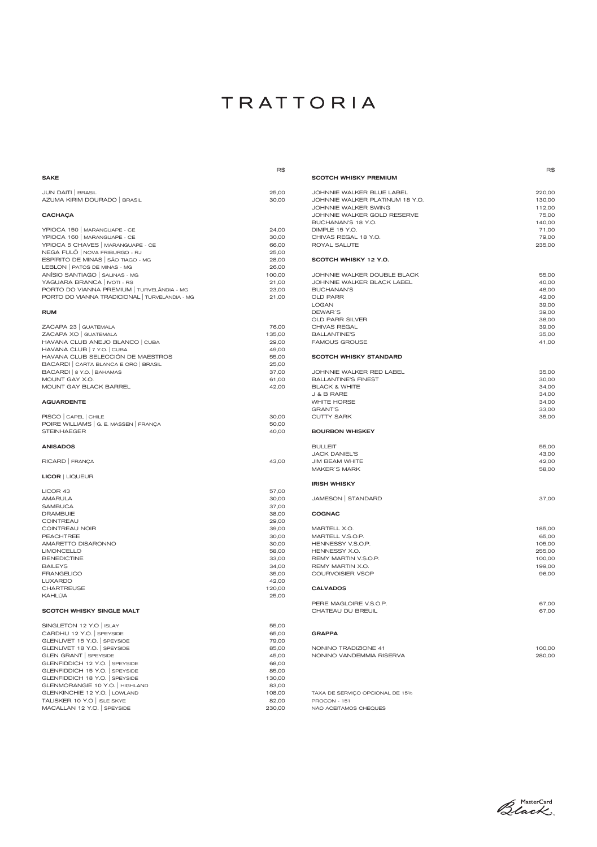|                                                | R\$    |  |
|------------------------------------------------|--------|--|
| <b>SAKE</b>                                    |        |  |
|                                                |        |  |
| JUN DAITI   BRASIL                             | 25,00  |  |
| AZUMA KIRIM DOURADO   BRASIL                   | 30,00  |  |
|                                                |        |  |
| <b>CACHAÇA</b>                                 |        |  |
|                                                |        |  |
| YPIOCA 150   MARANGUAPE - CE                   | 24,00  |  |
| YPIOCA 160   MARANGUAPE - CE                   | 30,00  |  |
| YPIOCA 5 CHAVES   MARANGUAPE - CE              | 66,00  |  |
| NEGA FULÕ   NOVA FRIBURGO - RJ                 | 25,00  |  |
| ESPÍRITO DE MINAS   SÃO TIAGO - MG             | 28,00  |  |
| LEBLON   PATOS DE MINAS - MG                   | 26,00  |  |
| ANÍSIO SANTIAGO   SALINAS - MG                 | 100,00 |  |
| YAGUARA BRANCA   IVOTI - RS                    | 21,00  |  |
| PORTO DO VIANNA PREMIUM   TURVELÂNDIA - MG     | 23,00  |  |
| PORTO DO VIANNA TRADICIONAL   TURVELÂNDIA - MG | 21,00  |  |
|                                                |        |  |
|                                                |        |  |
| <b>RUM</b>                                     |        |  |
|                                                |        |  |
| ZACAPA 23   GUATEMALA                          | 76,00  |  |
| ZACAPA XO   GUATEMALA                          | 135,00 |  |
| HAVANA CLUB ANEJO BLANCO   CUBA                | 29,00  |  |
| HAVANA CLUB   7 Y.O.   CUBA                    | 49,00  |  |
| HAVANA CLUB SELECCIÓN DE MAESTROS              | 55,00  |  |
| BACARDI CARTA BLANCA E ORO   BRASIL            | 25,00  |  |
| BACARDI   8 Y.O.   BAHAMAS                     | 37,00  |  |
| MOUNT GAY X.O.                                 | 61,00  |  |
| <b>MOUNT GAY BLACK BARREL</b>                  | 42,00  |  |
|                                                |        |  |
| <b>AGUARDENTE</b>                              |        |  |
|                                                |        |  |
| PISCO   CAPEL   CHILE                          | 30,00  |  |
| POIRE WILLIAMS   G. E. MASSEN   FRANÇA         | 50,00  |  |
| <b>STEINHAEGER</b>                             | 40,00  |  |
|                                                |        |  |
| <b>ANISADOS</b>                                |        |  |
|                                                |        |  |
| RICARD   FRANÇA                                | 43,00  |  |
|                                                |        |  |
| <b>LICOR   LIQUEUR</b>                         |        |  |
|                                                |        |  |
| LICOR 43                                       | 57,00  |  |
|                                                |        |  |
| AMARULA                                        | 30,00  |  |
| <b>SAMBUCA</b>                                 | 37,00  |  |
| <b>DRAMBUIE</b>                                | 38,00  |  |
| <b>COINTREAU</b>                               | 29,00  |  |
| <b>COINTREAU NOIR</b>                          | 39,00  |  |
| <b>PEACHTREE</b>                               | 30,00  |  |
| AMARETTO DISARONNO                             | 30,00  |  |
| <b>LIMONCELLO</b>                              | 58,00  |  |
| <b>BENEDICTINE</b>                             | 33,00  |  |
| <b>BAILEYS</b>                                 | 34,00  |  |
| <b>FRANGELICO</b>                              | 35,00  |  |
| <b>LUXARDO</b>                                 | 42,00  |  |
| <b>CHARTREUSE</b>                              | 120,00 |  |
| KAHLÚA                                         | 25,00  |  |
|                                                |        |  |

#### SCOTCH WHISKY SINGLE MALT

|                                                                                                                                                                                                                              | R\$                                                                                    |
|------------------------------------------------------------------------------------------------------------------------------------------------------------------------------------------------------------------------------|----------------------------------------------------------------------------------------|
| <b>SCOTCH WHISKY PREMIUM</b>                                                                                                                                                                                                 |                                                                                        |
| JOHNNIE WALKER BLUE LABEL<br>JOHNNIE WALKER PLATINUM 18 Y.O.<br><b>JOHNNIE WALKER SWING</b><br>JOHNNIE WALKER GOLD RESERVE<br>BUCHANAN'S 18 Y.O.<br>DIMPLE 15 Y.O.<br>CHIVAS REGAL 18 Y.O.<br><b>ROYAL SALUTE</b>            | 220,00<br>130,00<br>112,00<br>75,00<br>140,00<br>71,00<br>79,00<br>235,00              |
| SCOTCH WHISKY 12 Y.O.                                                                                                                                                                                                        |                                                                                        |
| JOHNNIE WALKER DOUBLE BLACK<br>JOHNNIE WALKER BLACK LABEL<br><b>BUCHANAN'S</b><br><b>OLD PARR</b><br><b>LOGAN</b><br>DEWAR'S<br><b>OLD PARR SILVER</b><br><b>CHIVAS REGAL</b><br><b>BALLANTINE'S</b><br><b>FAMOUS GROUSE</b> | 55,00<br>40,00<br>48,00<br>42,00<br>39,00<br>39,00<br>38,00<br>39,00<br>35,00<br>41,00 |
| <b>SCOTCH WHISKY STANDARD</b>                                                                                                                                                                                                |                                                                                        |
| JOHNNIE WALKER RED LABEL<br><b>BALLANTINE'S FINEST</b><br><b>BLACK &amp; WHITE</b><br>J & B RARE<br><b>WHITE HORSE</b><br><b>GRANT'S</b><br><b>CUTTY SARK</b>                                                                | 35,00<br>30,00<br>34,00<br>34,00<br>34,00<br>33,00<br>35,00                            |
| <b>BOURBON WHISKEY</b>                                                                                                                                                                                                       |                                                                                        |
| <b>BULLEIT</b><br><b>JACK DANIEL'S</b><br><b>JIM BEAM WHITE</b><br><b>MAKER'S MARK</b>                                                                                                                                       | 55,00<br>43,00<br>42,00<br>58,00                                                       |
| <b>IRISH WHISKY</b>                                                                                                                                                                                                          |                                                                                        |
| JAMESON STANDARD                                                                                                                                                                                                             | 37,00                                                                                  |
| <b>COGNAC</b>                                                                                                                                                                                                                |                                                                                        |
| MARTELL X.O.<br>MARTELL V.S.O.P.<br>HENNESSY V.S.O.P.<br>HENNESSY X.O.<br>REMY MARTIN V.S.O.P.<br>REMY MARTIN X.O.<br><b>COURVOISIER VSOP</b>                                                                                | 185,00<br>65,00<br>105,00<br>255,00<br>100,00<br>199,00<br>96,00                       |

| SINGLETON 12 Y.O   ISLAY        | 55,00  |                                 |        |
|---------------------------------|--------|---------------------------------|--------|
| CARDHU 12 Y.O. SPEYSIDE         | 65.00  | <b>GRAPPA</b>                   |        |
| GLENLIVET 15 Y.O. SPEYSIDE      | 79,00  |                                 |        |
| GLENLIVET 18 Y.O. SPEYSIDE      | 85,00  | NONINO TRADIZIONE 41            | 100.00 |
| GLEN GRANT SPEYSIDE             | 45.00  | NONINO VANDEMMIA RISERVA        | 280.00 |
| GLENFIDDICH 12 Y.O. SPEYSIDE    | 68,00  |                                 |        |
| GLENFIDDICH 15 Y.O. SPEYSIDE    | 85,00  |                                 |        |
| GLENFIDDICH 18 Y.O. SPEYSIDE    | 130,00 |                                 |        |
| GLENMORANGIE 10 Y.O.   HIGHLAND | 83,00  |                                 |        |
| GLENKINCHIE 12 Y.O.   LOWLAND   | 108,00 | TAXA DE SERVICO OPCIONAL DE 15% |        |
| TALISKER 10 Y.O   ISLE SKYE     | 82,00  | PROCON - 151                    |        |
| MACALLAN 12 Y.O. SPEYSIDE       | 230.00 | NÃO ACEITAMOS CHEQUES           |        |
|                                 |        |                                 |        |

Black

#### CALVADOS

PERE MAGLOIRE V.S.O.P. 67,00 CHATEAU DU BREUIL

|  |  | SUUTUH WHISNT SINGLE MALT |  |
|--|--|---------------------------|--|
|--|--|---------------------------|--|

|--|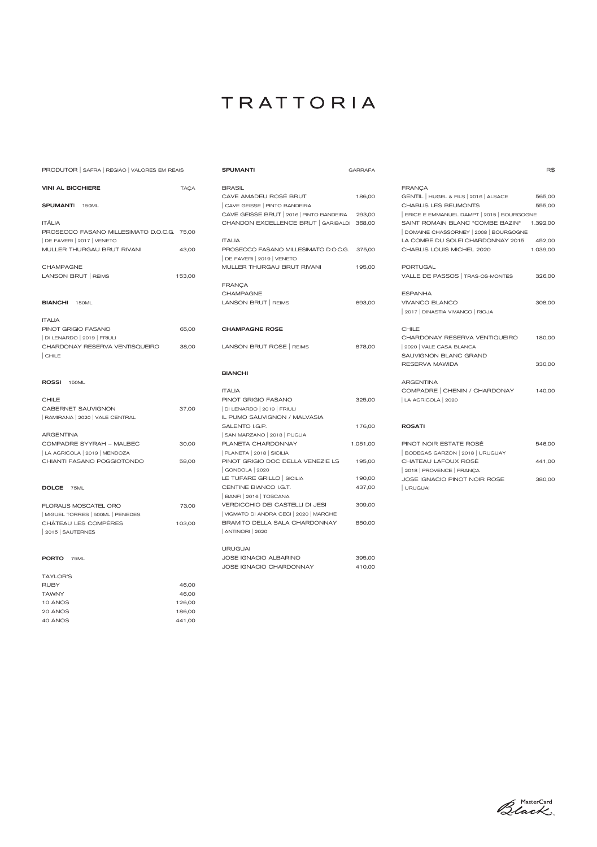| PRODUTOR SAFRA REGIÃO VALORES EM REAIS        |             | <b>SPUMANTI</b>                                   | <b>GARRAFA</b> |                                           | R\$      |
|-----------------------------------------------|-------------|---------------------------------------------------|----------------|-------------------------------------------|----------|
| <b>VINI AL BICCHIERE</b>                      | <b>TAÇA</b> | <b>BRASIL</b>                                     |                | <b>FRANÇA</b>                             |          |
|                                               |             | CAVE AMADEU ROSÉ BRUT                             | 186,00         | GENTIL   HUGEL & FILS   2016   ALSACE     | 565,00   |
| <b>SPUMANTI</b> 150ML                         |             | CAVE GEISSE   PINTO BANDEIRA                      |                | CHABLIS LES BEUMONTS                      | 555,00   |
|                                               |             | CAVE GEISSE BRUT   2016   PINTO BANDEIRA          | 293,00         | ERICE E EMMANUEL DAMPT   2015   BOURGOGNE |          |
| <b>ITÁLIA</b>                                 |             | CHANDON EXCELLENCE BRUT GARIBALDI 368,00          |                | SAINT ROMAIN BLANC "COMBE BAZIN"          | 1.392,00 |
| PROSECCO FASANO MILLESIMATO D.O.C.G. 75,00    |             |                                                   |                | DOMAINE CHASSORNEY   2008   BOURGOGNE     |          |
| $\vert$ DE FAVERI $\vert$ 2017 $\vert$ VENETO |             | <b>ITÁLIA</b>                                     |                | LA COMBE DU SOLEI CHARDONNAY 2015         | 452,00   |
| MULLER THURGAU BRUT RIVANI                    | 43,00       | PROSECCO FASANO MILLESIMATO D.O.C.G.              | 375,00         | CHABLIS LOUIS MICHEL 2020                 | 1.039,00 |
|                                               |             | DE FAVERI   2019   VENETO                         |                |                                           |          |
| <b>CHAMPAGNE</b>                              |             | MULLER THURGAU BRUT RIVANI                        | 195,00         | <b>PORTUGAL</b>                           |          |
| LANSON BRUT   REIMS                           | 153,00      |                                                   |                | VALLE DE PASSOS   TRÁS-OS-MONTES          | 326,00   |
|                                               |             | <b>FRANÇA</b>                                     |                |                                           |          |
|                                               |             | <b>CHAMPAGNE</b>                                  |                | <b>ESPANHA</b>                            |          |
| <b>BIANCHI</b> 150ML                          |             | LANSON BRUT   REIMS                               | 693,00         | <b>VIVANCO BLANCO</b>                     | 308,00   |
|                                               |             |                                                   |                | 2017   DINASTIA VIVANCO   RIOJA           |          |
| <b>ITALIA</b>                                 |             |                                                   |                |                                           |          |
| PINOT GRIGIO FASANO                           | 65,00       | <b>CHAMPAGNE ROSE</b>                             |                | <b>CHILE</b>                              |          |
| DI LENARDO   2019   FRIULI                    |             |                                                   |                | CHARDONAY RESERVA VENTIQUEIRO             | 180,00   |
| CHARDONAY RESERVA VENTISQUEIRO                | 38,00       | LANSON BRUT ROSE   REIMS                          | 878,00         | 2020   VALE CASA BLANCA                   |          |
| CHILE                                         |             |                                                   |                | SAUVIGNON BLANC GRAND                     |          |
|                                               |             |                                                   |                | RESERVA MAWIDA                            | 330,00   |
|                                               |             | <b>BIANCHI</b>                                    |                |                                           |          |
| ROSSI 150ML                                   |             |                                                   |                | <b>ARGENTINA</b>                          |          |
|                                               |             | <b>ITÁLIA</b>                                     |                | COMPADRE   CHENIN / CHARDONAY             | 140,00   |
| <b>CHILE</b>                                  |             | PINOT GRIGIO FASANO                               | 325,00         | LA AGRICOLA   2020                        |          |
| <b>CABERNET SAUVIGNON</b>                     | 37,00       | DI LENARDO   2019   FRIULI                        |                |                                           |          |
| RAMIRANA   2020   VALE CENTRAL                |             | IL PUMO SAUVIGNON / MALVASIA                      |                |                                           |          |
|                                               |             | SALENTO I.G.P.                                    | 176,00         | <b>ROSATI</b>                             |          |
| <b>ARGENTINA</b>                              |             | SAN MARZANO   2018   PUGLIA                       |                |                                           |          |
| COMPADRE SYYRAH - MALBEC                      | 30,00       | PLANETA CHARDONNAY                                | 1.051,00       | PINOT NOIR ESTATE ROSÉ                    | 546,00   |
| LA AGRICOLA   2019   MENDOZA                  |             | $ $ PLANETA $ 2018 $ SICILIA                      |                | BODEGAS GARZÓN   2018   URUGUAY           |          |
| CHIANTI FASANO POGGIOTONDO                    | 58,00       | PINOT GRIGIO DOC DELLA VENEZIE LS                 | 195,00         | CHATEAU LAFOUX ROSÉ                       | 441,00   |
|                                               |             | GONDOLA   2020                                    |                | 2018   PROVENCE   FRANÇA                  |          |
|                                               |             | LE TUFARE GRILLO SICILIA<br>CENTINE BIANCO I.G.T. | 190,00         | JOSE IGNACIO PINOT NOIR ROSE              | 380,00   |
| DOLCE 75ML                                    |             | BANFI 2016   TOSCANA                              | 437,00         | URUGUAI                                   |          |
|                                               |             | VERDICCHIO DEI CASTELLI DI JESI                   |                |                                           |          |
| FLORALIS MOSCATEL ORO                         | 73,00       | VIGMATO DI ANDRA CECI   2020   MARCHE             | 309,00         |                                           |          |
| MIGUEL TORRES   500ML   PENEDES               |             | BRAMITO DELLA SALA CHARDONNAY                     | 850,00         |                                           |          |
| CHÂTEAU LES COMPÈRES                          | 103,00      | ANTINORI 2020                                     |                |                                           |          |
| 2015   SAUTERNES                              |             |                                                   |                |                                           |          |
|                                               |             | <b>URUGUAI</b>                                    |                |                                           |          |
| PORTO 75ML                                    |             | <b>JOSE IGNACIO ALBARINO</b>                      | 395,00         |                                           |          |
|                                               |             | <b>JOSE IGNACIO CHARDONNAY</b>                    | 410,00         |                                           |          |
| <b>TAYLOR'S</b>                               |             |                                                   |                |                                           |          |
| <b>RUBY</b>                                   | 46,00       |                                                   |                |                                           |          |
| <b>TAWNY</b>                                  | 46,00       |                                                   |                |                                           |          |
| 10 ANOS                                       | 126,00      |                                                   |                |                                           |          |
|                                               |             |                                                   |                |                                           |          |

| -20 ANUS | 186.UU |
|----------|--------|
| 40 ANOS  | 441.00 |

Black

 $\mathsf{R\$}$